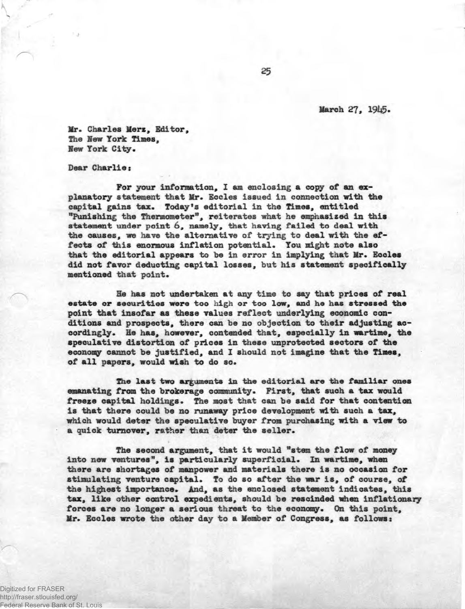**March 27, 19U5-**

**Mr. Charles Mere, Editor, The Hew York Times, Hew York City.** 

**Dear Charlie:** 

**For your information, I am enclosing a copy of an explanatory statement that Mr. Eccles issued in connection with the capital gains tax. Today's editorial in the Times, entitled "Punishing the Thermometer", reiterates what he emphasized in this statement under point 6, namely, that having failed to deal with the causes, we have the alternative of trying to deal with the effects of this enormous inflation potential. You might note also that the editorial appears to be in error in implying that Mr. Eccles did not favor deducting capital losses, but his statement specifically mentioned that point.** 

**He has not undertaken at any time to say that prices of real estate or securities were too high or too low, and he has stressed the point that insofar as these values reflect underlying economic conditions and prospects, there can be no objection to their adjusting accordingly. He has, however, contended that, especially in wartime, the speculative distortion of prices in these unprotected sectors of the economy cannot be justified, and I should not imagine that the Times, of all papers, would wish to do so.** 

**The last two arguments in the editorial are the familiar ones emanating from the brokerage community. First, that suoh a tax would freeze capital holdings. The most that can be said for that contention is that there could be no runaway price development with such a tax, which would deter the speculative buyer from purchasing with a view to a quick turnover, rather than deter the seller.** 

**The second argument, that it would "stem the flow of money into new ventures", is particularly superficial. In wartime, when there are shortages of manpower and materials there is no occasion for stimulating venture capital. To do so after the war is, of course, of the highest importance. And, as the enclosed statement indicates, this tax, like other control expedients, should be rescinded when inflationary forces are no longer a serious threat to the economy. On this point, Mr. Eccles wrote the other day to a Member of Congress, as followsi** 

Digitized for FRASER http://fraser.stlouisfed.org/ Federal Reserve Bank of St. Louis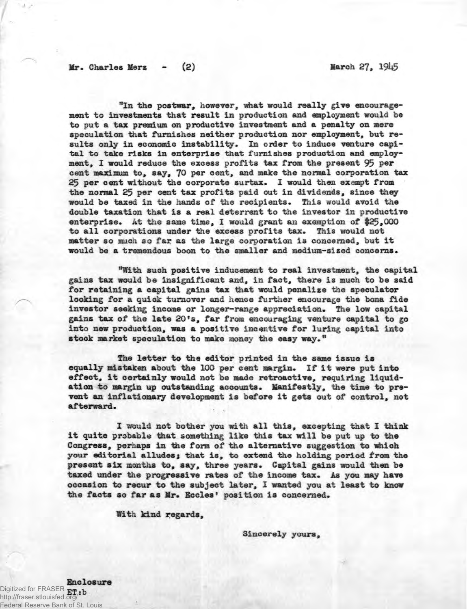"In the postwar, however, what would really give encourage**ment to investments that result in production and employment would be to put a tax premium on productive investment and a penalty on mere speculation that furnishes neither production nor employment, but results only in economic instability. In order to induce venture capital to take risks in enterprise that furnishes production and employ**ment. I would reduce the excess profits tax from the present 95 per **cent maximum to, say, 70 per cent, and make the normal corporation tax 25 per cent without the corporate surtax. I would then exempt from the normal 25 per cent tax profits paid out in dividends, since they would be taxed in the hands of the recipients. This would avoid the double taxation that is a real deterrent to the investor in productive enterprise. At the same time, I would grant an exemption of \$25,000 to all corporations under the excess profits tax. This would not matter so much so far as the large corporation is concerned, but it would be a tremendous boon to the smaller and medium-sized concerns.** 

**"With such positive inducement to real investment, the capital gains tax would be insignificant and, in fact, there is much to be said for retaining a capital gains tax that would penalise the speculator looking for a quick turnover and hence further encourage the bona fide investor seeking income or longer-range appreciation. The low capital gains tax of the late 20<sup>f</sup>s, far from encouraging venture capital to go into new production, was a positive incentive far luring capital into stock market speculation to make money the easy way."** 

**The letter to the editor printed in the same issue is equally mistaken about the 100 per cent margin. If it were put into effect, it certainly would not be made retroactive, requiring liquidation to margin up outstanding accounts. Manifestly, the time to prevent an inflationary development is before it gets out of control, not afterward.** 

**I would not bother you with all this, excepting that I think it quite probable that something like this tax will be put up to the Congress, perhaps in the form of the alternative suggestion to which your editorial alludes; that is, to extend the holding period from the present six months to, say, three years. Capital gains would then be taxed under the progressive rates of the income tax. As you may have occasion to recur to the subject later, I wanted you at least to know the facts so far as Mr. Socles' position is concerned.** 

**With kind regards,** 

**Sincerely yours,** 

**Enclosure**  Digitized for FRASER **ET:b** http://fraser.stlouisfed.org/ Federal Reserve Bank of St. Louis